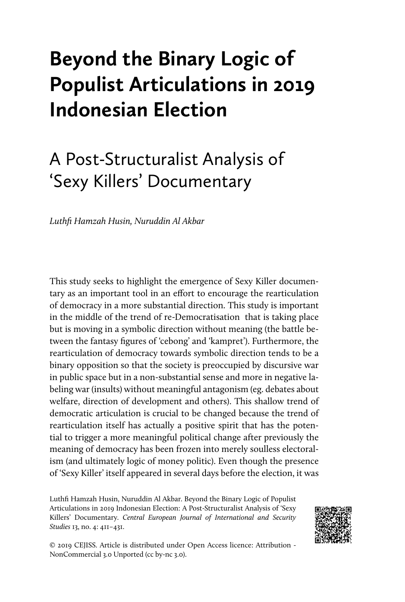# **Beyond the Binary Logic of Populist Articulations in 2019 Indonesian Election**

## A Post-Structuralist Analysis of 'Sexy Killers' Documentary

*Luthfi Hamzah Husin, Nuruddin Al Akbar*

This study seeks to highlight the emergence of Sexy Killer documentary as an important tool in an effort to encourage the rearticulation of democracy in a more substantial direction. This study is important in the middle of the trend of re-Democratisation that is taking place but is moving in a symbolic direction without meaning (the battle between the fantasy figures of 'cebong' and 'kampret'). Furthermore, the rearticulation of democracy towards symbolic direction tends to be a binary opposition so that the society is preoccupied by discursive war in public space but in a non-substantial sense and more in negative labeling war (insults) without meaningful antagonism (eg. debates about welfare, direction of development and others). This shallow trend of democratic articulation is crucial to be changed because the trend of rearticulation itself has actually a positive spirit that has the potential to trigger a more meaningful political change after previously the meaning of democracy has been frozen into merely soulless electoralism (and ultimately logic of money politic). Even though the presence of 'Sexy Killer' itself appeared in several days before the election, it was

Luthfi Hamzah Husin, Nuruddin Al Akbar. Beyond the Binary Logic of Populist Articulations in 2019 Indonesian Election: A Post-Structuralist Analysis of 'Sexy Killers' Documentary. *Central European Journal of International and Security Studies* 13, no. 4: 411–431.



© 2019 CEJISS. Article is distributed under Open Access licence: Attribution - NonCommercial 3.0 Unported (cc by-nc 3.0).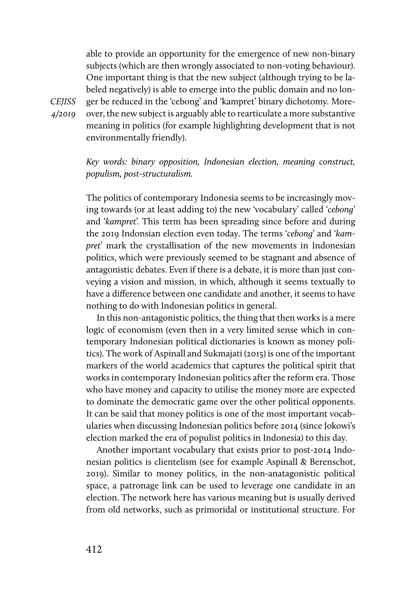able to provide an opportunity for the emergence of new non-binary subjects (which are then wrongly associated to non-voting behaviour). One important thing is that the new subject (although trying to be labeled negatively) is able to emerge into the public domain and no longer be reduced in the 'cebong' and 'kampret' binary dichotomy. Moreover, the new subject is arguably able to rearticulate a more substantive meaning in politics (for example highlighting development that is not environmentally friendly).

*Key words: binary opposition, Indonesian election, meaning construct, populism, post-structuralism.*

The politics of contemporary Indonesia seems to be increasingly moving towards (or at least adding to) the new 'vocabulary' called '*cebong*' and '*kampret*'. This term has been spreading since before and during the 2019 Indonsian election even today. The terms '*cebong*' and '*kampret*' mark the crystallisation of the new movements in Indonesian politics, which were previously seemed to be stagnant and absence of antagonistic debates. Even if there is a debate, it is more than just conveying a vision and mission, in which, although it seems textually to have a difference between one candidate and another, it seems to have nothing to do with Indonesian politics in general.

In this non-antagonistic politics, the thing that then works is a mere logic of economism (even then in a very limited sense which in contemporary Indonesian political dictionaries is known as money politics). The work of Aspinall and Sukmajati (2015) is one of the important markers of the world academics that captures the political spirit that works in contemporary Indonesian politics after the reform era. Those who have money and capacity to utilise the money more are expected to dominate the democratic game over the other political opponents. It can be said that money politics is one of the most important vocabularies when discussing Indonesian politics before 2014 (since Jokowi's election marked the era of populist politics in Indonesia) to this day.

Another important vocabulary that exists prior to post-2014 Indonesian politics is clientelism (see for example Aspinall & Berenschot, 2019). Similar to money politics, in the non-anatagonistic political space, a patronage link can be used to leverage one candidate in an election. The network here has various meaning but is usually derived from old networks, such as primoridal or institutional structure. For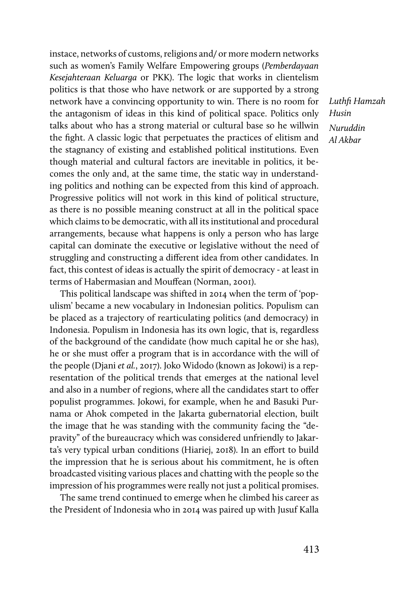instace, networks of customs, religions and/ or more modern networks such as women's Family Welfare Empowering groups (*Pemberdayaan Kesejahteraan Keluarga* or PKK). The logic that works in clientelism politics is that those who have network or are supported by a strong network have a convincing opportunity to win. There is no room for the antagonism of ideas in this kind of political space. Politics only talks about who has a strong material or cultural base so he willwin the fight. A classic logic that perpetuates the practices of elitism and the stagnancy of existing and established political institutions. Even though material and cultural factors are inevitable in politics, it becomes the only and, at the same time, the static way in understanding politics and nothing can be expected from this kind of approach. Progressive politics will not work in this kind of political structure, as there is no possible meaning construct at all in the political space which claims to be democratic, with all its institutional and procedural arrangements, because what happens is only a person who has large capital can dominate the executive or legislative without the need of struggling and constructing a different idea from other candidates. In fact, this contest of ideas is actually the spirit of democracy - at least in terms of Habermasian and Mouffean (Norman, 2001).

This political landscape was shifted in 2014 when the term of 'populism' became a new vocabulary in Indonesian politics. Populism can be placed as a trajectory of rearticulating politics (and democracy) in Indonesia. Populism in Indonesia has its own logic, that is, regardless of the background of the candidate (how much capital he or she has), he or she must offer a program that is in accordance with the will of the people (Djani *et al.*, 2017). Joko Widodo (known as Jokowi) is a representation of the political trends that emerges at the national level and also in a number of regions, where all the candidates start to offer populist programmes. Jokowi, for example, when he and Basuki Purnama or Ahok competed in the Jakarta gubernatorial election, built the image that he was standing with the community facing the "depravity" of the bureaucracy which was considered unfriendly to Jakarta's very typical urban conditions (Hiariej, 2018). In an effort to build the impression that he is serious about his commitment, he is often broadcasted visiting various places and chatting with the people so the impression of his programmes were really not just a political promises.

The same trend continued to emerge when he climbed his career as the President of Indonesia who in 2014 was paired up with Jusuf Kalla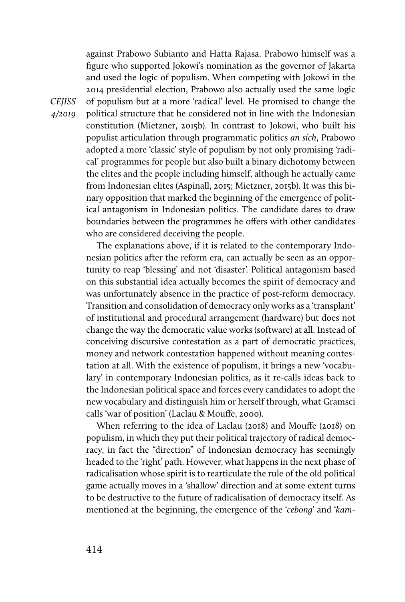against Prabowo Subianto and Hatta Rajasa. Prabowo himself was a figure who supported Jokowi's nomination as the governor of Jakarta and used the logic of populism. When competing with Jokowi in the 2014 presidential election, Prabowo also actually used the same logic of populism but at a more 'radical' level. He promised to change the political structure that he considered not in line with the Indonesian constitution (Mietzner, 2015b). In contrast to Jokowi, who built his populist articulation through programmatic politics *an sich*, Prabowo adopted a more 'classic' style of populism by not only promising 'radical' programmes for people but also built a binary dichotomy between the elites and the people including himself, although he actually came from Indonesian elites (Aspinall, 2015; Mietzner, 2015b). It was this binary opposition that marked the beginning of the emergence of political antagonism in Indonesian politics. The candidate dares to draw boundaries between the programmes he offers with other candidates who are considered deceiving the people.

The explanations above, if it is related to the contemporary Indonesian politics after the reform era, can actually be seen as an opportunity to reap 'blessing' and not 'disaster'. Political antagonism based on this substantial idea actually becomes the spirit of democracy and was unfortunately absence in the practice of post-reform democracy. Transition and consolidation of democracy only works as a 'transplant' of institutional and procedural arrangement (hardware) but does not change the way the democratic value works (software) at all. Instead of conceiving discursive contestation as a part of democratic practices, money and network contestation happened without meaning contestation at all. With the existence of populism, it brings a new 'vocabulary' in contemporary Indonesian politics, as it re-calls ideas back to the Indonesian political space and forces every candidates to adopt the new vocabulary and distinguish him or herself through, what Gramsci calls 'war of position' (Laclau & Mouffe, 2000).

When referring to the idea of Laclau (2018) and Mouffe (2018) on populism, in which they put their political trajectory of radical democracy, in fact the "direction" of Indonesian democracy has seemingly headed to the 'right' path. However, what happens in the next phase of radicalisation whose spirit is to rearticulate the rule of the old political game actually moves in a 'shallow' direction and at some extent turns to be destructive to the future of radicalisation of democracy itself. As mentioned at the beginning, the emergence of the '*cebong*' and '*kam-*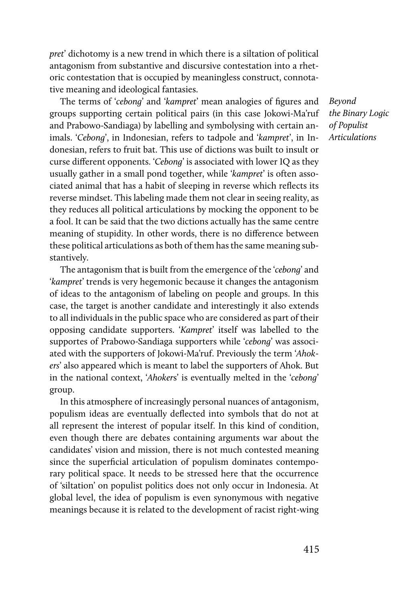*pret*' dichotomy is a new trend in which there is a siltation of political antagonism from substantive and discursive contestation into a rhetoric contestation that is occupied by meaningless construct, connotative meaning and ideological fantasies.

The terms of '*cebong*' and '*kampret*' mean analogies of figures and groups supporting certain political pairs (in this case Jokowi-Ma'ruf and Prabowo-Sandiaga) by labelling and symbolysing with certain animals. '*Cebong*', in Indonesian, refers to tadpole and '*kampret*', in Indonesian, refers to fruit bat. This use of dictions was built to insult or curse different opponents. '*Cebong*' is associated with lower IQ as they usually gather in a small pond together, while '*kampret*' is often associated animal that has a habit of sleeping in reverse which reflects its reverse mindset. This labeling made them not clear in seeing reality, as they reduces all political articulations by mocking the opponent to be a fool. It can be said that the two dictions actually has the same centre meaning of stupidity. In other words, there is no difference between these political articulations as both of them has the same meaning substantively.

The antagonism that is built from the emergence of the '*cebong*' and '*kampret*' trends is very hegemonic because it changes the antagonism of ideas to the antagonism of labeling on people and groups. In this case, the target is another candidate and interestingly it also extends to all individuals in the public space who are considered as part of their opposing candidate supporters. '*Kampret*' itself was labelled to the supportes of Prabowo-Sandiaga supporters while '*cebong*' was associated with the supporters of Jokowi-Ma'ruf. Previously the term '*Ahokers*' also appeared which is meant to label the supporters of Ahok. But in the national context, '*Ahoker*s' is eventually melted in the '*cebong*' group.

In this atmosphere of increasingly personal nuances of antagonism, populism ideas are eventually deflected into symbols that do not at all represent the interest of popular itself. In this kind of condition, even though there are debates containing arguments war about the candidates' vision and mission, there is not much contested meaning since the superficial articulation of populism dominates contemporary political space. It needs to be stressed here that the occurrence of 'siltation' on populist politics does not only occur in Indonesia. At global level, the idea of populism is even synonymous with negative meanings because it is related to the development of racist right-wing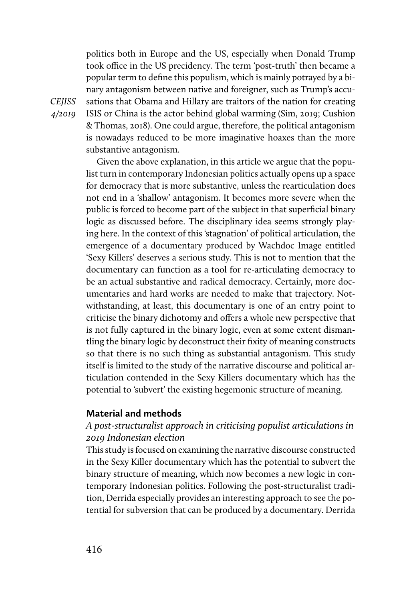politics both in Europe and the US, especially when Donald Trump took office in the US precidency. The term 'post-truth' then became a popular term to define this populism, which is mainly potrayed by a binary antagonism between native and foreigner, such as Trump's accusations that Obama and Hillary are traitors of the nation for creating ISIS or China is the actor behind global warming (Sim, 2019; Cushion & Thomas, 2018). One could argue, therefore, the political antagonism is nowadays reduced to be more imaginative hoaxes than the more substantive antagonism.

Given the above explanation, in this article we argue that the populist turn in contemporary Indonesian politics actually opens up a space for democracy that is more substantive, unless the rearticulation does not end in a 'shallow' antagonism. It becomes more severe when the public is forced to become part of the subject in that superficial binary logic as discussed before. The disciplinary idea seems strongly playing here. In the context of this 'stagnation' of political articulation, the emergence of a documentary produced by Wachdoc Image entitled 'Sexy Killers' deserves a serious study. This is not to mention that the documentary can function as a tool for re-articulating democracy to be an actual substantive and radical democracy. Certainly, more documentaries and hard works are needed to make that trajectory. Notwithstanding, at least, this documentary is one of an entry point to criticise the binary dichotomy and offers a whole new perspective that is not fully captured in the binary logic, even at some extent dismantling the binary logic by deconstruct their fixity of meaning constructs so that there is no such thing as substantial antagonism. This study itself is limited to the study of the narrative discourse and political articulation contended in the Sexy Killers documentary which has the potential to 'subvert' the existing hegemonic structure of meaning.

## **Material and methods**

## *A post-structuralist approach in criticising populist articulations in 2019 Indonesian election*

This study is focused on examining the narrative discourse constructed in the Sexy Killer documentary which has the potential to subvert the binary structure of meaning, which now becomes a new logic in contemporary Indonesian politics. Following the post-structuralist tradition, Derrida especially provides an interesting approach to see the potential for subversion that can be produced by a documentary. Derrida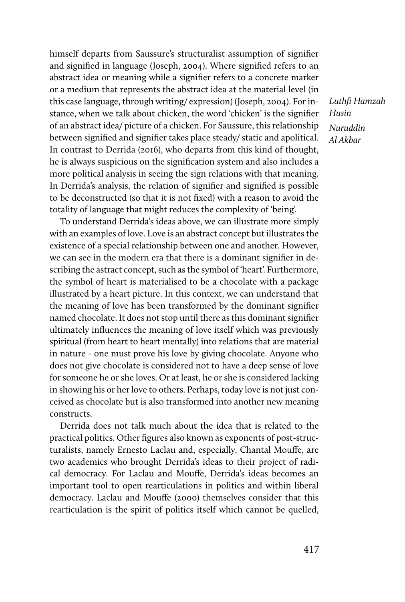himself departs from Saussure's structuralist assumption of signifier and signified in language (Joseph, 2004). Where signified refers to an abstract idea or meaning while a signifier refers to a concrete marker or a medium that represents the abstract idea at the material level (in this case language, through writing/ expression) (Joseph, 2004). For instance, when we talk about chicken, the word 'chicken' is the signifier of an abstract idea/ picture of a chicken. For Saussure, this relationship between signified and signifier takes place steady/ static and apolitical. In contrast to Derrida (2016), who departs from this kind of thought, he is always suspicious on the signification system and also includes a more political analysis in seeing the sign relations with that meaning. In Derrida's analysis, the relation of signifier and signified is possible to be deconstructed (so that it is not fixed) with a reason to avoid the totality of language that might reduces the complexity of 'being'.

To understand Derrida's ideas above, we can illustrate more simply with an examples of love. Love is an abstract concept but illustrates the existence of a special relationship between one and another. However, we can see in the modern era that there is a dominant signifier in describing the astract concept, such as the symbol of 'heart'. Furthermore, the symbol of heart is materialised to be a chocolate with a package illustrated by a heart picture. In this context, we can understand that the meaning of love has been transformed by the dominant signifier named chocolate. It does not stop until there as this dominant signifier ultimately influences the meaning of love itself which was previously spiritual (from heart to heart mentally) into relations that are material in nature - one must prove his love by giving chocolate. Anyone who does not give chocolate is considered not to have a deep sense of love for someone he or she loves. Or at least, he or she is considered lacking in showing his or her love to others. Perhaps, today love is not just conceived as chocolate but is also transformed into another new meaning constructs.

Derrida does not talk much about the idea that is related to the practical politics. Other figures also known as exponents of post-structuralists, namely Ernesto Laclau and, especially, Chantal Mouffe, are two academics who brought Derrida's ideas to their project of radical democracy. For Laclau and Mouffe, Derrida's ideas becomes an important tool to open rearticulations in politics and within liberal democracy. Laclau and Mouffe (2000) themselves consider that this rearticulation is the spirit of politics itself which cannot be quelled,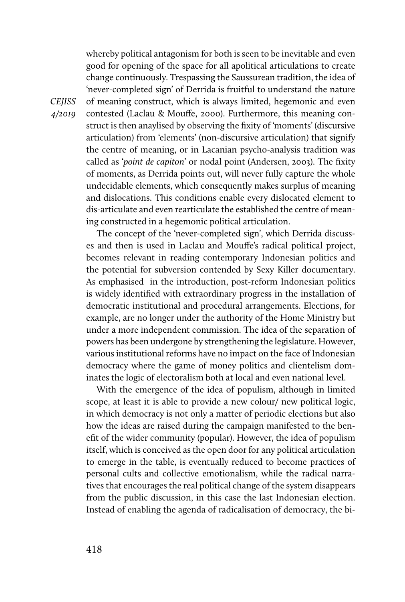whereby political antagonism for both is seen to be inevitable and even good for opening of the space for all apolitical articulations to create change continuously. Trespassing the Saussurean tradition, the idea of 'never-completed sign' of Derrida is fruitful to understand the nature of meaning construct, which is always limited, hegemonic and even contested (Laclau & Mouffe, 2000). Furthermore, this meaning construct is then anaylised by observing the fixity of 'moments' (discursive articulation) from 'elements' (non-discursive articulation) that signify the centre of meaning, or in Lacanian psycho-analysis tradition was called as '*point de capiton*' or nodal point (Andersen, 2003). The fixity of moments, as Derrida points out, will never fully capture the whole undecidable elements, which consequently makes surplus of meaning and dislocations. This conditions enable every dislocated element to dis-articulate and even rearticulate the established the centre of meaning constructed in a hegemonic political articulation.

The concept of the 'never-completed sign', which Derrida discusses and then is used in Laclau and Mouffe's radical political project, becomes relevant in reading contemporary Indonesian politics and the potential for subversion contended by Sexy Killer documentary. As emphasised in the introduction, post-reform Indonesian politics is widely identified with extraordinary progress in the installation of democratic institutional and procedural arrangements. Elections, for example, are no longer under the authority of the Home Ministry but under a more independent commission. The idea of the separation of powers has been undergone by strengthening the legislature. However, various institutional reforms have no impact on the face of Indonesian democracy where the game of money politics and clientelism dominates the logic of electoralism both at local and even national level.

With the emergence of the idea of populism, although in limited scope, at least it is able to provide a new colour/ new political logic, in which democracy is not only a matter of periodic elections but also how the ideas are raised during the campaign manifested to the benefit of the wider community (popular). However, the idea of populism itself, which is conceived as the open door for any political articulation to emerge in the table, is eventually reduced to become practices of personal cults and collective emotionalism, while the radical narratives that encourages the real political change of the system disappears from the public discussion, in this case the last Indonesian election. Instead of enabling the agenda of radicalisation of democracy, the bi-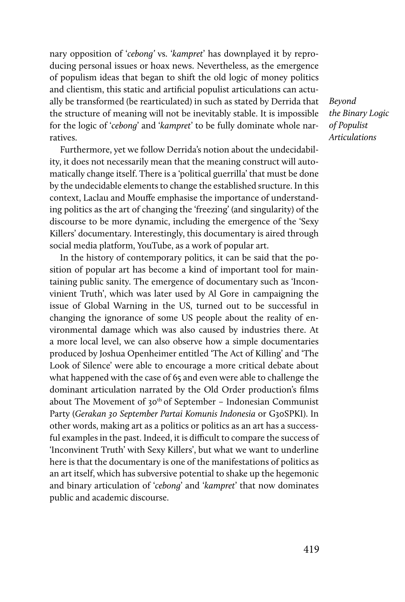nary opposition of '*cebong'* vs. '*kampret*' has downplayed it by reproducing personal issues or hoax news. Nevertheless, as the emergence of populism ideas that began to shift the old logic of money politics and clientism, this static and artificial populist articulations can actually be transformed (be rearticulated) in such as stated by Derrida that the structure of meaning will not be inevitably stable. It is impossible for the logic of '*cebong*' and '*kampret*' to be fully dominate whole narratives.

Furthermore, yet we follow Derrida's notion about the undecidability, it does not necessarily mean that the meaning construct will automatically change itself. There is a 'political guerrilla' that must be done by the undecidable elements to change the established sructure. In this context, Laclau and Mouffe emphasise the importance of understanding politics as the art of changing the 'freezing' (and singularity) of the discourse to be more dynamic, including the emergence of the 'Sexy Killers' documentary. Interestingly, this documentary is aired through social media platform, YouTube, as a work of popular art.

In the history of contemporary politics, it can be said that the position of popular art has become a kind of important tool for maintaining public sanity. The emergence of documentary such as 'Inconvinient Truth', which was later used by Al Gore in campaigning the issue of Global Warning in the US, turned out to be successful in changing the ignorance of some US people about the reality of environmental damage which was also caused by industries there. At a more local level, we can also observe how a simple documentaries produced by Joshua Openheimer entitled 'The Act of Killing' and 'The Look of Silence' were able to encourage a more critical debate about what happened with the case of 65 and even were able to challenge the dominant articulation narrated by the Old Order production's films about The Movement of  $30<sup>th</sup>$  of September – Indonesian Communist Party (*Gerakan 30 September Partai Komunis Indonesia* or G30SPKI). In other words, making art as a politics or politics as an art has a successful examples in the past. Indeed, it is difficult to compare the success of 'Inconvinent Truth' with Sexy Killers', but what we want to underline here is that the documentary is one of the manifestations of politics as an art itself, which has subversive potential to shake up the hegemonic and binary articulation of '*cebong*' and '*kampret*' that now dominates public and academic discourse.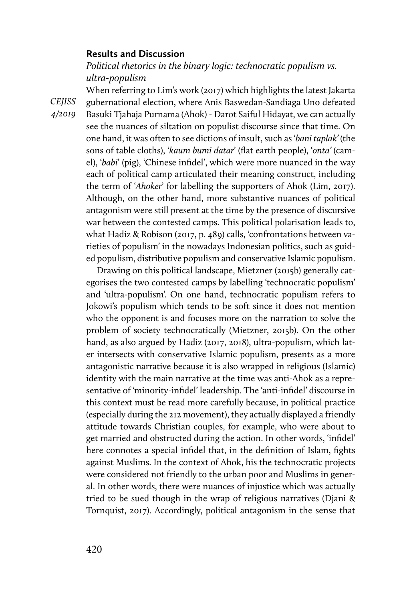### **Results and Discussion**

*Political rhetorics in the binary logic: technocratic populism vs. ultra-populism*

*CEJISS 4/2019*  When referring to Lim's work (2017) which highlights the latest Jakarta gubernational election, where Anis Baswedan-Sandiaga Uno defeated Basuki Tjahaja Purnama (Ahok) - Darot Saiful Hidayat, we can actually see the nuances of siltation on populist discourse since that time. On one hand, it was often to see dictions of insult, such as '*bani taplak'* (the sons of table cloths), '*kaum bumi datar*' (flat earth people), '*onta'* (camel), '*babi*' (pig), 'Chinese infidel', which were more nuanced in the way each of political camp articulated their meaning construct, including the term of '*Ahoker*' for labelling the supporters of Ahok (Lim, 2017). Although, on the other hand, more substantive nuances of political antagonism were still present at the time by the presence of discursive war between the contested camps. This political polarisation leads to, what Hadiz & Robison (2017, p. 489) calls, 'confrontations between varieties of populism' in the nowadays Indonesian politics, such as guided populism, distributive populism and conservative Islamic populism.

> Drawing on this political landscape, Mietzner (2015b) generally categorises the two contested camps by labelling 'technocratic populism' and 'ultra-populism'. On one hand, technocratic populism refers to Jokowi's populism which tends to be soft since it does not mention who the opponent is and focuses more on the narration to solve the problem of society technocratically (Mietzner, 2015b). On the other hand, as also argued by Hadiz (2017, 2018), ultra-populism, which later intersects with conservative Islamic populism, presents as a more antagonistic narrative because it is also wrapped in religious (Islamic) identity with the main narrative at the time was anti-Ahok as a representative of 'minority-infidel' leadership. The 'anti-infidel' discourse in this context must be read more carefully because, in political practice (especially during the 212 movement), they actually displayed a friendly attitude towards Christian couples, for example, who were about to get married and obstructed during the action. In other words, 'infidel' here connotes a special infidel that, in the definition of Islam, fights against Muslims. In the context of Ahok, his the technocratic projects were considered not friendly to the urban poor and Muslims in general. In other words, there were nuances of injustice which was actually tried to be sued though in the wrap of religious narratives (Djani & Tornquist, 2017). Accordingly, political antagonism in the sense that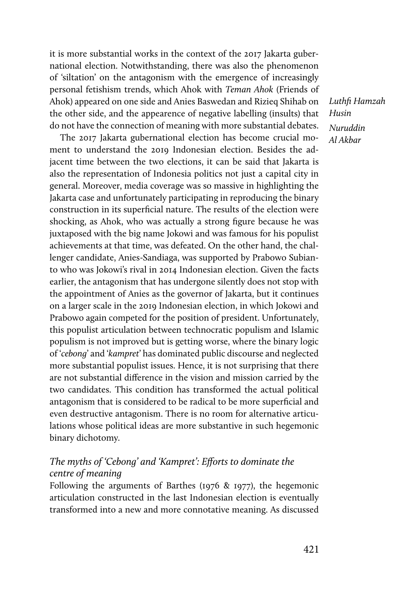it is more substantial works in the context of the 2017 Jakarta gubernational election. Notwithstanding, there was also the phenomenon of 'siltation' on the antagonism with the emergence of increasingly personal fetishism trends, which Ahok with *Teman Ahok* (Friends of Ahok) appeared on one side and Anies Baswedan and Rizieq Shihab on the other side, and the appearence of negative labelling (insults) that do not have the connection of meaning with more substantial debates.

The 2017 Jakarta gubernational election has become crucial moment to understand the 2019 Indonesian election. Besides the adjacent time between the two elections, it can be said that Jakarta is also the representation of Indonesia politics not just a capital city in general. Moreover, media coverage was so massive in highlighting the Jakarta case and unfortunately participating in reproducing the binary construction in its superficial nature. The results of the election were shocking, as Ahok, who was actually a strong figure because he was juxtaposed with the big name Jokowi and was famous for his populist achievements at that time, was defeated. On the other hand, the challenger candidate, Anies-Sandiaga, was supported by Prabowo Subianto who was Jokowi's rival in 2014 Indonesian election. Given the facts earlier, the antagonism that has undergone silently does not stop with the appointment of Anies as the governor of Jakarta, but it continues on a larger scale in the 2019 Indonesian election, in which Jokowi and Prabowo again competed for the position of president. Unfortunately, this populist articulation between technocratic populism and Islamic populism is not improved but is getting worse, where the binary logic of '*cebong*' and '*kampret*' has dominated public discourse and neglected more substantial populist issues. Hence, it is not surprising that there are not substantial difference in the vision and mission carried by the two candidates. This condition has transformed the actual political antagonism that is considered to be radical to be more superficial and even destructive antagonism. There is no room for alternative articulations whose political ideas are more substantive in such hegemonic binary dichotomy.

## *The myths of 'Cebong' and 'Kampret': Efforts to dominate the centre of meaning*

Following the arguments of Barthes (1976 & 1977), the hegemonic articulation constructed in the last Indonesian election is eventually transformed into a new and more connotative meaning. As discussed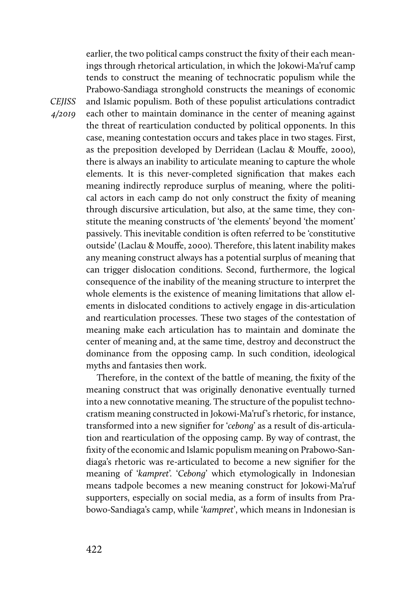earlier, the two political camps construct the fixity of their each meanings through rhetorical articulation, in which the Jokowi-Ma'ruf camp tends to construct the meaning of technocratic populism while the Prabowo-Sandiaga stronghold constructs the meanings of economic and Islamic populism. Both of these populist articulations contradict each other to maintain dominance in the center of meaning against the threat of rearticulation conducted by political opponents. In this case, meaning contestation occurs and takes place in two stages. First, as the preposition developed by Derridean (Laclau & Mouffe, 2000), there is always an inability to articulate meaning to capture the whole elements. It is this never-completed signification that makes each meaning indirectly reproduce surplus of meaning, where the political actors in each camp do not only construct the fixity of meaning through discursive articulation, but also, at the same time, they constitute the meaning constructs of 'the elements' beyond 'the moment' passively. This inevitable condition is often referred to be 'constitutive outside' (Laclau & Mouffe, 2000). Therefore, this latent inability makes any meaning construct always has a potential surplus of meaning that can trigger dislocation conditions. Second, furthermore, the logical consequence of the inability of the meaning structure to interpret the whole elements is the existence of meaning limitations that allow elements in dislocated conditions to actively engage in dis-articulation and rearticulation processes. These two stages of the contestation of meaning make each articulation has to maintain and dominate the center of meaning and, at the same time, destroy and deconstruct the dominance from the opposing camp. In such condition, ideological myths and fantasies then work.

Therefore, in the context of the battle of meaning, the fixity of the meaning construct that was originally denonative eventually turned into a new connotative meaning. The structure of the populist technocratism meaning constructed in Jokowi-Ma'ruf's rhetoric, for instance, transformed into a new signifier for '*cebong*' as a result of dis-articulation and rearticulation of the opposing camp. By way of contrast, the fixity of the economic and Islamic populism meaning on Prabowo-Sandiaga's rhetoric was re-articulated to become a new signifier for the meaning of '*kampret*'. '*Cebong*' which etymologically in Indonesian means tadpole becomes a new meaning construct for Jokowi-Ma'ruf supporters, especially on social media, as a form of insults from Prabowo-Sandiaga's camp, while '*kampret*', which means in Indonesian is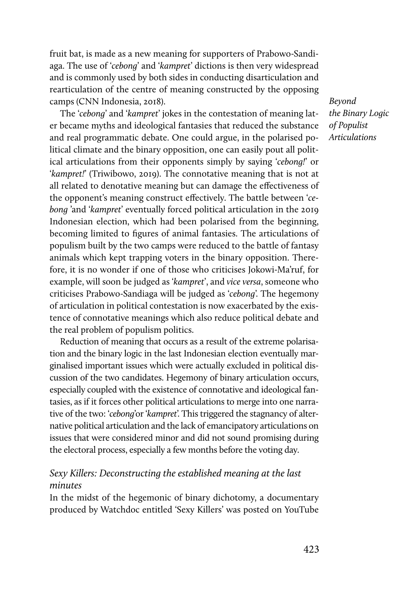fruit bat, is made as a new meaning for supporters of Prabowo-Sandiaga. The use of '*cebong*' and '*kampret*' dictions is then very widespread and is commonly used by both sides in conducting disarticulation and rearticulation of the centre of meaning constructed by the opposing camps (CNN Indonesia, 2018).

The '*cebong*' and '*kampret*' jokes in the contestation of meaning later became myths and ideological fantasies that reduced the substance and real programmatic debate. One could argue, in the polarised political climate and the binary opposition, one can easily pout all political articulations from their opponents simply by saying '*cebong!*' or '*kampret!*' (Triwibowo, 2019). The connotative meaning that is not at all related to denotative meaning but can damage the effectiveness of the opponent's meaning construct effectively. The battle between '*cebong* 'and '*kampret*' eventually forced political articulation in the 2019 Indonesian election, which had been polarised from the beginning, becoming limited to figures of animal fantasies. The articulations of populism built by the two camps were reduced to the battle of fantasy animals which kept trapping voters in the binary opposition. Therefore, it is no wonder if one of those who criticises Jokowi-Ma'ruf, for example, will soon be judged as '*kampret*', and *vice versa*, someone who criticises Prabowo-Sandiaga will be judged as '*cebong*'. The hegemony of articulation in political contestation is now exacerbated by the existence of connotative meanings which also reduce political debate and the real problem of populism politics.

Reduction of meaning that occurs as a result of the extreme polarisation and the binary logic in the last Indonesian election eventually marginalised important issues which were actually excluded in political discussion of the two candidates. Hegemony of binary articulation occurs, especially coupled with the existence of connotative and ideological fantasies, as if it forces other political articulations to merge into one narrative of the two: '*cebong*'or '*kampret*'. This triggered the stagnancy of alternative political articulation and the lack of emancipatory articulations on issues that were considered minor and did not sound promising during the electoral process, especially a few months before the voting day.

## *Sexy Killers: Deconstructing the established meaning at the last minutes*

In the midst of the hegemonic of binary dichotomy, a documentary produced by Watchdoc entitled 'Sexy Killers' was posted on YouTube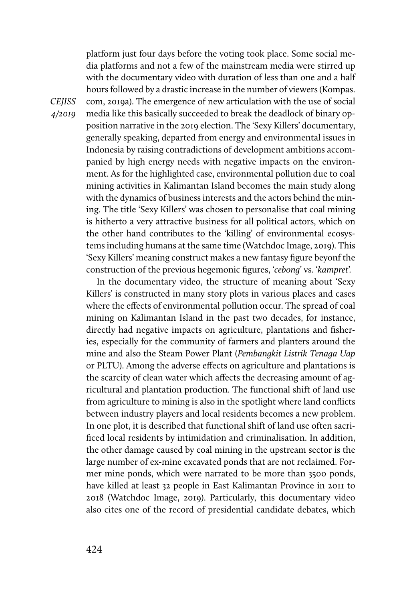platform just four days before the voting took place. Some social media platforms and not a few of the mainstream media were stirred up with the documentary video with duration of less than one and a half hours followed by a drastic increase in the number of viewers (Kompas. com, 2019a). The emergence of new articulation with the use of social media like this basically succeeded to break the deadlock of binary opposition narrative in the 2019 election. The 'Sexy Killers' documentary, generally speaking, departed from energy and environmental issues in Indonesia by raising contradictions of development ambitions accompanied by high energy needs with negative impacts on the environment. As for the highlighted case, environmental pollution due to coal mining activities in Kalimantan Island becomes the main study along with the dynamics of business interests and the actors behind the mining. The title 'Sexy Killers' was chosen to personalise that coal mining is hitherto a very attractive business for all political actors, which on the other hand contributes to the 'killing' of environmental ecosystems including humans at the same time (Watchdoc Image, 2019). This 'Sexy Killers' meaning construct makes a new fantasy figure beyonf the construction of the previous hegemonic figures, '*cebong*' vs. '*kampret*'.

In the documentary video, the structure of meaning about 'Sexy Killers' is constructed in many story plots in various places and cases where the effects of environmental pollution occur. The spread of coal mining on Kalimantan Island in the past two decades, for instance, directly had negative impacts on agriculture, plantations and fisheries, especially for the community of farmers and planters around the mine and also the Steam Power Plant (*Pembangkit Listrik Tenaga Uap*  or PLTU). Among the adverse effects on agriculture and plantations is the scarcity of clean water which affects the decreasing amount of agricultural and plantation production. The functional shift of land use from agriculture to mining is also in the spotlight where land conflicts between industry players and local residents becomes a new problem. In one plot, it is described that functional shift of land use often sacrificed local residents by intimidation and criminalisation. In addition, the other damage caused by coal mining in the upstream sector is the large number of ex-mine excavated ponds that are not reclaimed. Former mine ponds, which were narrated to be more than 3500 ponds, have killed at least 32 people in East Kalimantan Province in 2011 to 2018 (Watchdoc Image, 2019). Particularly, this documentary video also cites one of the record of presidential candidate debates, which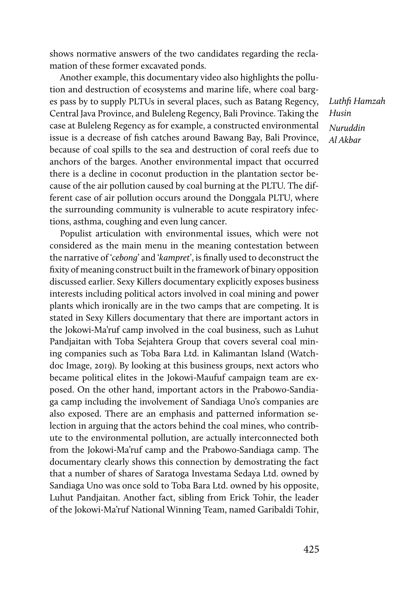shows normative answers of the two candidates regarding the reclamation of these former excavated ponds.

Another example, this documentary video also highlights the pollution and destruction of ecosystems and marine life, where coal barges pass by to supply PLTUs in several places, such as Batang Regency, Central Java Province, and Buleleng Regency, Bali Province. Taking the case at Buleleng Regency as for example, a constructed environmental issue is a decrease of fish catches around Bawang Bay, Bali Province, because of coal spills to the sea and destruction of coral reefs due to anchors of the barges. Another environmental impact that occurred there is a decline in coconut production in the plantation sector because of the air pollution caused by coal burning at the PLTU. The different case of air pollution occurs around the Donggala PLTU, where the surrounding community is vulnerable to acute respiratory infections, asthma, coughing and even lung cancer.

Populist articulation with environmental issues, which were not considered as the main menu in the meaning contestation between the narrative of '*cebong*' and '*kampret*', is finally used to deconstruct the fixity of meaning construct built in the framework of binary opposition discussed earlier. Sexy Killers documentary explicitly exposes business interests including political actors involved in coal mining and power plants which ironically are in the two camps that are competing. It is stated in Sexy Killers documentary that there are important actors in the Jokowi-Ma'ruf camp involved in the coal business, such as Luhut Pandjaitan with Toba Sejahtera Group that covers several coal mining companies such as Toba Bara Ltd. in Kalimantan Island (Watchdoc Image, 2019). By looking at this business groups, next actors who became political elites in the Jokowi-Maufuf campaign team are exposed. On the other hand, important actors in the Prabowo-Sandiaga camp including the involvement of Sandiaga Uno's companies are also exposed. There are an emphasis and patterned information selection in arguing that the actors behind the coal mines, who contribute to the environmental pollution, are actually interconnected both from the Jokowi-Ma'ruf camp and the Prabowo-Sandiaga camp. The documentary clearly shows this connection by demostrating the fact that a number of shares of Saratoga Investama Sedaya Ltd. owned by Sandiaga Uno was once sold to Toba Bara Ltd. owned by his opposite, Luhut Pandjaitan. Another fact, sibling from Erick Tohir, the leader of the Jokowi-Ma'ruf National Winning Team, named Garibaldi Tohir,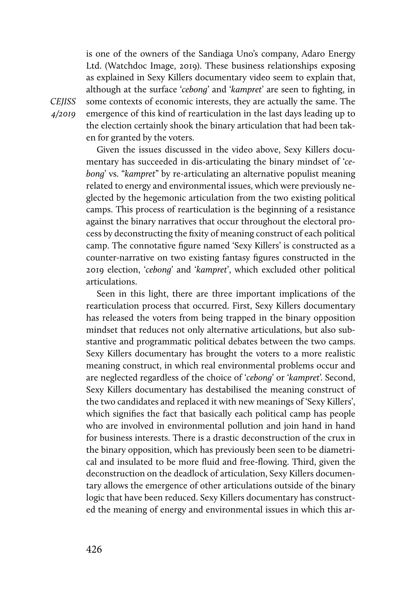is one of the owners of the Sandiaga Uno's company, Adaro Energy Ltd. (Watchdoc Image, 2019). These business relationships exposing as explained in Sexy Killers documentary video seem to explain that, although at the surface '*cebong*' and '*kampret*' are seen to fighting, in some contexts of economic interests, they are actually the same. The emergence of this kind of rearticulation in the last days leading up to the election certainly shook the binary articulation that had been taken for granted by the voters.

Given the issues discussed in the video above, Sexy Killers documentary has succeeded in dis-articulating the binary mindset of '*cebong*' vs. "*kampret*" by re-articulating an alternative populist meaning related to energy and environmental issues, which were previously neglected by the hegemonic articulation from the two existing political camps. This process of rearticulation is the beginning of a resistance against the binary narratives that occur throughout the electoral process by deconstructing the fixity of meaning construct of each political camp. The connotative figure named 'Sexy Killers' is constructed as a counter-narrative on two existing fantasy figures constructed in the 2019 election, '*cebong*' and '*kampret*', which excluded other political articulations.

Seen in this light, there are three important implications of the rearticulation process that occurred. First, Sexy Killers documentary has released the voters from being trapped in the binary opposition mindset that reduces not only alternative articulations, but also substantive and programmatic political debates between the two camps. Sexy Killers documentary has brought the voters to a more realistic meaning construct, in which real environmental problems occur and are neglected regardless of the choice of '*cebong*' or '*kampret*'. Second, Sexy Killers documentary has destabilised the meaning construct of the two candidates and replaced it with new meanings of 'Sexy Killers', which signifies the fact that basically each political camp has people who are involved in environmental pollution and join hand in hand for business interests. There is a drastic deconstruction of the crux in the binary opposition, which has previously been seen to be diametrical and insulated to be more fluid and free-flowing. Third, given the deconstruction on the deadlock of articulation, Sexy Killers documentary allows the emergence of other articulations outside of the binary logic that have been reduced. Sexy Killers documentary has constructed the meaning of energy and environmental issues in which this ar-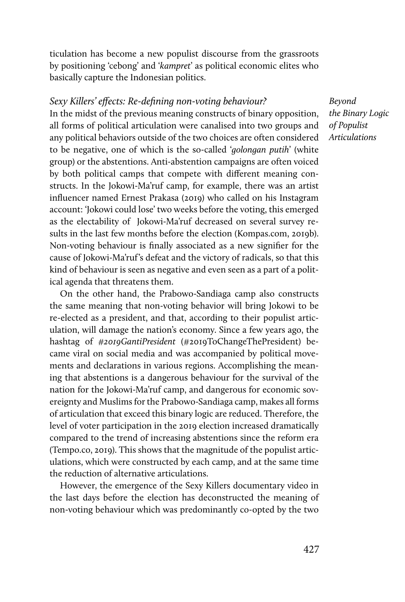ticulation has become a new populist discourse from the grassroots by positioning 'cebong' and '*kampret*' as political economic elites who basically capture the Indonesian politics.

## *Sexy Killers' effects: Re-defining non-voting behaviour?*

In the midst of the previous meaning constructs of binary opposition, all forms of political articulation were canalised into two groups and any political behaviors outside of the two choices are often considered to be negative, one of which is the so-called '*golongan putih*' (white group) or the abstentions. Anti-abstention campaigns are often voiced by both political camps that compete with different meaning constructs. In the Jokowi-Ma'ruf camp, for example, there was an artist influencer named Ernest Prakasa (2019) who called on his Instagram account: 'Jokowi could lose' two weeks before the voting, this emerged as the electability of Jokowi-Ma'ruf decreased on several survey results in the last few months before the election (Kompas.com, 2019b). Non-voting behaviour is finally associated as a new signifier for the cause of Jokowi-Ma'ruf's defeat and the victory of radicals, so that this kind of behaviour is seen as negative and even seen as a part of a political agenda that threatens them.

On the other hand, the Prabowo-Sandiaga camp also constructs the same meaning that non-voting behavior will bring Jokowi to be re-elected as a president, and that, according to their populist articulation, will damage the nation's economy. Since a few years ago, the hashtag of *#2019GantiPresident* (#2019ToChangeThePresident) became viral on social media and was accompanied by political movements and declarations in various regions. Accomplishing the meaning that abstentions is a dangerous behaviour for the survival of the nation for the Jokowi-Ma'ruf camp, and dangerous for economic sovereignty and Muslims for the Prabowo-Sandiaga camp, makes all forms of articulation that exceed this binary logic are reduced. Therefore, the level of voter participation in the 2019 election increased dramatically compared to the trend of increasing abstentions since the reform era (Tempo.co, 2019). This shows that the magnitude of the populist articulations, which were constructed by each camp, and at the same time the reduction of alternative articulations.

However, the emergence of the Sexy Killers documentary video in the last days before the election has deconstructed the meaning of non-voting behaviour which was predominantly co-opted by the two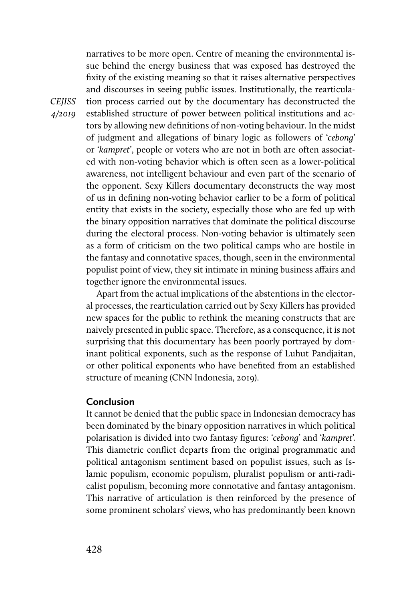narratives to be more open. Centre of meaning the environmental issue behind the energy business that was exposed has destroyed the fixity of the existing meaning so that it raises alternative perspectives and discourses in seeing public issues. Institutionally, the rearticulation process carried out by the documentary has deconstructed the established structure of power between political institutions and actors by allowing new definitions of non-voting behaviour. In the midst of judgment and allegations of binary logic as followers of '*cebong*' or '*kampret*', people or voters who are not in both are often associated with non-voting behavior which is often seen as a lower-political awareness, not intelligent behaviour and even part of the scenario of the opponent. Sexy Killers documentary deconstructs the way most of us in defining non-voting behavior earlier to be a form of political entity that exists in the society, especially those who are fed up with the binary opposition narratives that dominate the political discourse during the electoral process. Non-voting behavior is ultimately seen as a form of criticism on the two political camps who are hostile in the fantasy and connotative spaces, though, seen in the environmental populist point of view, they sit intimate in mining business affairs and together ignore the environmental issues.

Apart from the actual implications of the abstentions in the electoral processes, the rearticulation carried out by Sexy Killers has provided new spaces for the public to rethink the meaning constructs that are naively presented in public space. Therefore, as a consequence, it is not surprising that this documentary has been poorly portrayed by dominant political exponents, such as the response of Luhut Pandjaitan, or other political exponents who have benefited from an established structure of meaning (CNN Indonesia, 2019).

## **Conclusion**

It cannot be denied that the public space in Indonesian democracy has been dominated by the binary opposition narratives in which political polarisation is divided into two fantasy figures: '*cebong*' and '*kampret*'. This diametric conflict departs from the original programmatic and political antagonism sentiment based on populist issues, such as Islamic populism, economic populism, pluralist populism or anti-radicalist populism, becoming more connotative and fantasy antagonism. This narrative of articulation is then reinforced by the presence of some prominent scholars' views, who has predominantly been known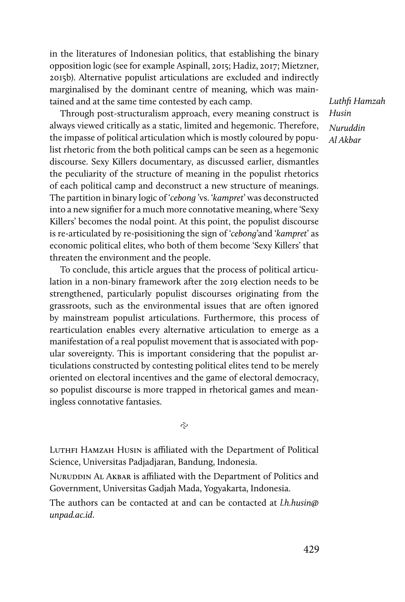in the literatures of Indonesian politics, that establishing the binary opposition logic (see for example Aspinall, 2015; Hadiz, 2017; Mietzner, 2015b). Alternative populist articulations are excluded and indirectly marginalised by the dominant centre of meaning, which was maintained and at the same time contested by each camp.

Through post-structuralism approach, every meaning construct is always viewed critically as a static, limited and hegemonic. Therefore, the impasse of political articulation which is mostly coloured by populist rhetoric from the both political camps can be seen as a hegemonic discourse. Sexy Killers documentary, as discussed earlier, dismantles the peculiarity of the structure of meaning in the populist rhetorics of each political camp and deconstruct a new structure of meanings. The partition in binary logic of '*cebong* 'vs. '*kampret*' was deconstructed into a new signifier for a much more connotative meaning, where 'Sexy Killers' becomes the nodal point. At this point, the populist discourse is re-articulated by re-posisitioning the sign of '*cebong*'and '*kampret*' as economic political elites, who both of them become 'Sexy Killers' that threaten the environment and the people.

To conclude, this article argues that the process of political articulation in a non-binary framework after the 2019 election needs to be strengthened, particularly populist discourses originating from the grassroots, such as the environmental issues that are often ignored by mainstream populist articulations. Furthermore, this process of rearticulation enables every alternative articulation to emerge as a manifestation of a real populist movement that is associated with popular sovereignty. This is important considering that the populist articulations constructed by contesting political elites tend to be merely oriented on electoral incentives and the game of electoral democracy, so populist discourse is more trapped in rhetorical games and meaningless connotative fantasies.

Ŷ,

LUTHFI HAMZAH HUSIN is affiliated with the Department of Political Science, Universitas Padjadjaran, Bandung, Indonesia.

NURUDDIN AL AKBAR is affiliated with the Department of Politics and Government, Universitas Gadjah Mada, Yogyakarta, Indonesia.

The authors can be contacted at and can be contacted at *l.h.husin@ unpad.ac.id*.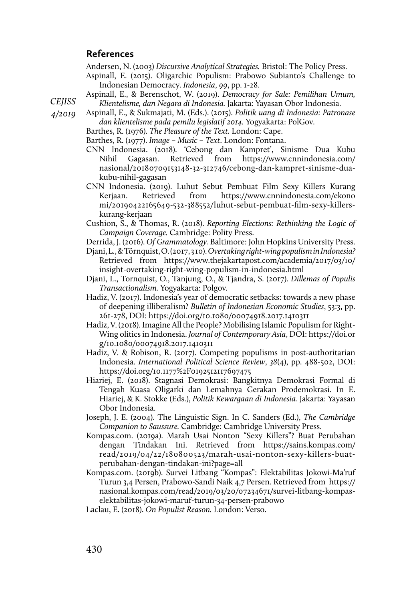#### **References**

Andersen, N. (2003) *Discursive Analytical Strategies.* Bristol: The Policy Press.

- Aspinall, E. (2015). Oligarchic Populism: Prabowo Subianto's Challenge to Indonesian Democracy. *Indonesia*, *99*, pp. 1-28.
- Aspinall, E., & Berenschot, W. (2019). *Democracy for Sale: Pemilihan Umum, Klientelisme, dan Negara di Indonesia.* Jakarta: Yayasan Obor Indonesia.
- *4/2019*  Aspinall, E., & Sukmajati, M. (Eds.). (2015). *Politik uang di Indonesia: Patronase dan klientelisme pada pemilu legislatif 2014.* Yogyakarta: PolGov.
	- Barthes, R. (1976). *The Pleasure of the Text.* London: Cape.

Barthes, R. (1977). *Image – Music – Text*. London: Fontana.

- CNN Indonesia. (2018). 'Cebong dan Kampret', Sinisme Dua Kubu Nihil Gagasan. Retrieved from https://www.cnnindonesia.com/ nasional/20180709153148-32-312746/cebong-dan-kampret-sinisme-duakubu-nihil-gagasan
- CNN Indonesia. (2019). Luhut Sebut Pembuat Film Sexy Killers Kurang Kerjaan. Retrieved from https://www.cnnindonesia.com/ekono mi/20190422165649-532-388552/luhut-sebut-pembuat-film-sexy-killerskurang-kerjaan
- Cushion, S., & Thomas, R. (2018). *Reporting Elections: Rethinking the Logic of Campaign Coverage.* Cambridge: Polity Press.
- Derrida, J. (2016). *Of Grammatology.* Baltimore: John Hopkins University Press.
- Djani, L., & Törnquist, O. (2017, 3 10). *Overtaking right-wing populism in Indonesia?* Retrieved from https://www.thejakartapost.com/academia/2017/03/10/ insight-overtaking-right-wing-populism-in-indonesia.html
- Djani, L., Tornquist, O., Tanjung, O., & Tjandra, S. (2017). *Dillemas of Populis Transactionalism.* Yogyakarta: Polgov.
- Hadiz, V. (2017). Indonesia's year of democratic setbacks: towards a new phase of deepening illiberalism? *Bulletin of Indonesian Economic Studies*, 53:3, pp. 261-278, DOI: https://doi.org/10.1080/00074918.2017.1410311
- Hadiz, V. (2018). Imagine All the People? Mobilising Islamic Populism for Right-Wing olitics in Indonesia. *Journal of Contemporary Asia*, DOI: https://doi.or g/10.1080/00074918.2017.1410311
- Hadiz, V. & Robison, R. (2017). Competing populisms in post-authoritarian Indonesia. *International Political Science Review*, *38*(4), pp. 488-502, DOI: https://doi.org/10.1177%2F0192512117697475
- Hiariej, E. (2018). Stagnasi Demokrasi: Bangkitnya Demokrasi Formal di Tengah Kuasa Oligarki dan Lemahnya Gerakan Prodemokrasi. In E. Hiariej, & K. Stokke (Eds.), *Politik Kewargaan di Indonesia.* Jakarta: Yayasan Obor Indonesia.
- Joseph, J. E. (2004). The Linguistic Sign. In C. Sanders (Ed.), *The Cambridge Companion to Saussure.* Cambridge: Cambridge University Press.
- Kompas.com. (2019a). Marah Usai Nonton "Sexy Killers"? Buat Perubahan dengan Tindakan Ini. Retrieved from https://sains.kompas.com/ read/2019/04/22/180800523/marah-usai-nonton-sexy-killers-buatperubahan-dengan-tindakan-ini?page=all
- Kompas.com. (2019b). Survei Litbang "Kompas": Elektabilitas Jokowi-Ma'ruf Turun 3,4 Persen, Prabowo-Sandi Naik 4,7 Persen. Retrieved from https:// nasional.kompas.com/read/2019/03/20/07234671/survei-litbang-kompaselektabilitas-jokowi-maruf-turun-34-persen-prabowo
- Laclau, E. (2018). *On Populist Reason.* London: Verso.

*CEJISS*